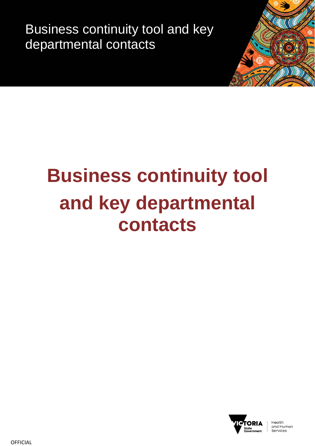Business continuity tool and key departmental contacts



## **Business continuity tool and key departmental contacts**



Health and Human Services

**OFFICIAL**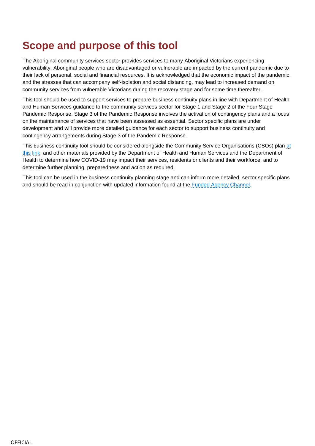## **Scope and purpose of this tool**

The Aboriginal community services sector provides services to many Aboriginal Victorians experiencing vulnerability. Aboriginal people who are disadvantaged or vulnerable are impacted by the current pandemic due to their lack of personal, social and financial resources. It is acknowledged that the economic impact of the pandemic, and the stresses that can accompany self-isolation and social distancing, may lead to increased demand on community services from vulnerable Victorians during the recovery stage and for some time thereafter.

This tool should be used to support services to prepare business continuity plans in line with Department of Health and Human Services guidance to the community services sector for Stage 1 and Stage 2 of the Four Stage Pandemic Response. Stage 3 of the Pandemic Response involves the activation of contingency plans and a focus on the maintenance of services that have been assessed as essential. Sector specific plans are under development and will provide more detailed guidance for each sector to support business continuity and contingency arrangements during Stage 3 of the Pandemic Response.

This business continuity tool should be considered alongside the Community Service Organisations (CSOs) plan [at](https://fac.dhhs.vic.gov.au/sites/default/files/2020-03/COVID-19%20%20%20Plan%20for%20the%20Victorian%20Community%20Services%20Sector%2025%20March%20%20-%20Final%20for%20distribution.docx) [this link,](https://fac.dhhs.vic.gov.au/sites/default/files/2020-03/COVID-19%20%20%20Plan%20for%20the%20Victorian%20Community%20Services%20Sector%2025%20March%20%20-%20Final%20for%20distribution.docx) and other materials provided by the Department of Health and Human Services and the Department of Health to determine how COVID-19 may impact their services, residents or clients and their workforce, and to determine further planning, preparedness and action as required.

This tool can be used in the business continuity planning stage and can inform more detailed, sector specific plans and should be read in conjunction with updated information found at the [Funded Agency Channel.](https://fac.dhhs.vic.gov.au/)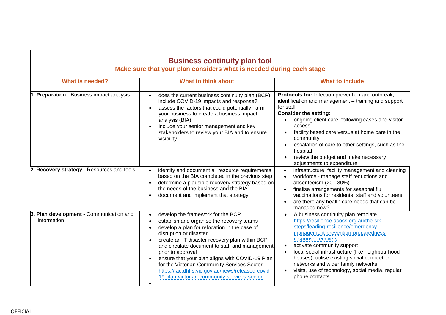| <b>Business continuity plan tool</b><br>Make sure that your plan considers what is needed during each stage |                                                                                                                                                                                                                                                                                                                                                                                                                                                                                        |                                                                                                                                                                                                                                                                                                                                                                                                                                                          |  |
|-------------------------------------------------------------------------------------------------------------|----------------------------------------------------------------------------------------------------------------------------------------------------------------------------------------------------------------------------------------------------------------------------------------------------------------------------------------------------------------------------------------------------------------------------------------------------------------------------------------|----------------------------------------------------------------------------------------------------------------------------------------------------------------------------------------------------------------------------------------------------------------------------------------------------------------------------------------------------------------------------------------------------------------------------------------------------------|--|
| <b>What is needed?</b>                                                                                      | <b>What to think about</b>                                                                                                                                                                                                                                                                                                                                                                                                                                                             | <b>What to include</b>                                                                                                                                                                                                                                                                                                                                                                                                                                   |  |
| 1. Preparation - Business impact analysis                                                                   | does the current business continuity plan (BCP)<br>include COVID-19 impacts and response?<br>assess the factors that could potentially harm<br>your business to create a business impact<br>analysis (BIA)<br>include your senior management and key<br>stakeholders to review your BIA and to ensure<br>visibility                                                                                                                                                                    | Protocols for: Infection prevention and outbreak,<br>identification and management - training and support<br>for staff<br><b>Consider the setting:</b><br>ongoing client care, following cases and visitor<br>$\bullet$<br>access<br>facility based care versus at home care in the<br>$\bullet$<br>community<br>escalation of care to other settings, such as the<br>hospital<br>review the budget and make necessary<br>adjustments to expenditure     |  |
| 2. Recovery strategy - Resources and tools                                                                  | identify and document all resource requirements<br>based on the BIA completed in the previous step<br>determine a plausible recovery strategy based on<br>$\bullet$<br>the needs of the business and the BIA<br>document and implement that strategy                                                                                                                                                                                                                                   | infrastructure, facility management and cleaning<br>$\bullet$<br>workforce - manage staff reductions and<br>$\bullet$<br>absenteeism (20 - 30%)<br>finalise arrangements for seasonal flu<br>vaccinations for residents, staff and volunteers<br>are there any health care needs that can be<br>managed now?                                                                                                                                             |  |
| 3. Plan development - Communication and<br>information                                                      | develop the framework for the BCP<br>establish and organise the recovery teams<br>develop a plan for relocation in the case of<br>disruption or disaster<br>create an IT disaster recovery plan within BCP<br>and circulate document to staff and management<br>prior to approval<br>ensure that your plan aligns with COVID-19 Plan<br>for the Victorian Community Services Sector<br>https://fac.dhhs.vic.gov.au/news/released-covid-<br>19-plan-victorian-community-services-sector | A business continuity plan template<br>https://resilience.acoss.org.au/the-six-<br>steps/leading-resilience/emergency-<br>management-prevention-preparedness-<br>response-recovery<br>activate community support<br>$\bullet$<br>local social infrastructure (like neighbourhood<br>$\bullet$<br>houses), utilise existing social connection<br>networks and wider family networks<br>visits, use of technology, social media, regular<br>phone contacts |  |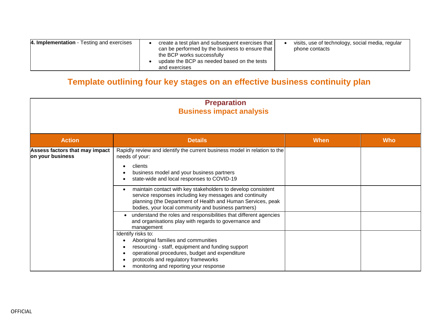| 4. Implementation - Testing and exercises | create a test plan and subsequent exercises that<br>can be performed by the business to ensure that<br>the BCP works successfully<br>update the BCP as needed based on the tests | visits, use of technology, social media, regular<br>phone contacts |
|-------------------------------------------|----------------------------------------------------------------------------------------------------------------------------------------------------------------------------------|--------------------------------------------------------------------|
|                                           | and exercises                                                                                                                                                                    |                                                                    |

## **Template outlining four key stages on an effective business continuity plan**

| <b>Preparation</b><br><b>Business impact analysis</b> |                                                                                                                                                                                                                                                                                                                                                                                                                                                                                                                         |             |            |
|-------------------------------------------------------|-------------------------------------------------------------------------------------------------------------------------------------------------------------------------------------------------------------------------------------------------------------------------------------------------------------------------------------------------------------------------------------------------------------------------------------------------------------------------------------------------------------------------|-------------|------------|
| <b>Action</b>                                         | <b>Details</b>                                                                                                                                                                                                                                                                                                                                                                                                                                                                                                          | <b>When</b> | <b>Who</b> |
| Assess factors that may impact<br>on your business    | Rapidly review and identify the current business model in relation to the<br>needs of your:<br>clients<br>business model and your business partners<br>state-wide and local responses to COVID-19<br>maintain contact with key stakeholders to develop consistent<br>service responses including key messages and continuity<br>planning (the Department of Health and Human Services, peak<br>bodies, your local community and business partners)<br>understand the roles and responsibilities that different agencies |             |            |
|                                                       | and organisations play with regards to governance and<br>management<br>Identify risks to:<br>Aboriginal families and communities<br>resourcing - staff, equipment and funding support<br>operational procedures, budget and expenditure<br>protocols and regulatory frameworks<br>monitoring and reporting your response                                                                                                                                                                                                |             |            |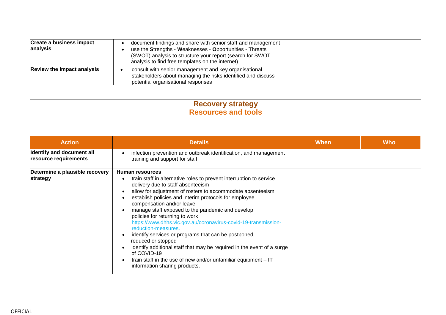| <b>Create a business impact</b><br>analysis | document findings and share with senior staff and management<br>use the Strengths - Weaknesses - Opportunities - Threats<br>(SWOT) analysis to structure your report (search for SWOT<br>analysis to find free templates on the internet) |  |
|---------------------------------------------|-------------------------------------------------------------------------------------------------------------------------------------------------------------------------------------------------------------------------------------------|--|
| <b>Review the impact analysis</b>           | consult with senior management and key organisational<br>stakeholders about managing the risks identified and discuss<br>potential organisational responses                                                                               |  |

| <b>Recovery strategy</b><br><b>Resources and tools</b> |                                                                                                                                                                                                                                                                                                                                                                                                                                                                                                                                                                                                                                                                                                                                                  |             |            |
|--------------------------------------------------------|--------------------------------------------------------------------------------------------------------------------------------------------------------------------------------------------------------------------------------------------------------------------------------------------------------------------------------------------------------------------------------------------------------------------------------------------------------------------------------------------------------------------------------------------------------------------------------------------------------------------------------------------------------------------------------------------------------------------------------------------------|-------------|------------|
| <b>Action</b>                                          | <b>Details</b>                                                                                                                                                                                                                                                                                                                                                                                                                                                                                                                                                                                                                                                                                                                                   | <b>When</b> | <b>Who</b> |
| Identify and document all<br>resource requirements     | infection prevention and outbreak identification, and management<br>training and support for staff                                                                                                                                                                                                                                                                                                                                                                                                                                                                                                                                                                                                                                               |             |            |
| Determine a plausible recovery<br>strategy             | <b>Human resources</b><br>train staff in alternative roles to prevent interruption to service<br>delivery due to staff absenteeism<br>allow for adjustment of rosters to accommodate absenteeism<br>establish policies and interim protocols for employee<br>compensation and/or leave<br>manage staff exposed to the pandemic and develop<br>policies for returning to work<br>https://www.dhhs.vic.gov.au/coronavirus-covid-19-transmission-<br>reduction-measures.<br>identify services or programs that can be postponed,<br>reduced or stopped<br>identify additional staff that may be required in the event of a surge<br>of COVID-19<br>train staff in the use of new and/or unfamiliar equipment $-IT$<br>information sharing products. |             |            |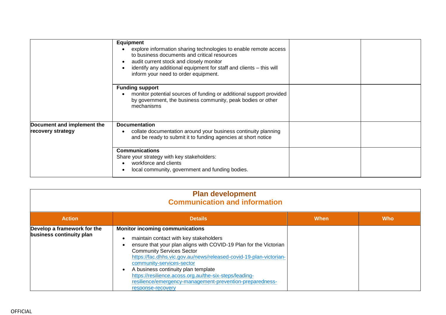|                                                 | <b>Equipment</b><br>explore information sharing technologies to enable remote access<br>to business documents and critical resources<br>audit current stock and closely monitor<br>identify any additional equipment for staff and clients - this will<br>inform your need to order equipment. |  |
|-------------------------------------------------|------------------------------------------------------------------------------------------------------------------------------------------------------------------------------------------------------------------------------------------------------------------------------------------------|--|
|                                                 | <b>Funding support</b><br>monitor potential sources of funding or additional support provided<br>by government, the business community, peak bodies or other<br>mechanisms                                                                                                                     |  |
| Document and implement the<br>recovery strategy | <b>Documentation</b><br>collate documentation around your business continuity planning<br>and be ready to submit it to funding agencies at short notice                                                                                                                                        |  |
|                                                 | <b>Communications</b><br>Share your strategy with key stakeholders:<br>workforce and clients<br>local community, government and funding bodies.                                                                                                                                                |  |

| <b>Plan development</b><br><b>Communication and information</b> |                                                                                                                                                                                                                                                                                                                                                                                                                                                                                |      |            |
|-----------------------------------------------------------------|--------------------------------------------------------------------------------------------------------------------------------------------------------------------------------------------------------------------------------------------------------------------------------------------------------------------------------------------------------------------------------------------------------------------------------------------------------------------------------|------|------------|
| <b>Action</b>                                                   | <b>Details</b>                                                                                                                                                                                                                                                                                                                                                                                                                                                                 | When | <b>Who</b> |
| Develop a framework for the<br>business continuity plan         | <b>Monitor incoming communications</b><br>maintain contact with key stakeholders<br>ensure that your plan aligns with COVID-19 Plan for the Victorian<br><b>Community Services Sector</b><br>https://fac.dhhs.vic.gov.au/news/released-covid-19-plan-victorian-<br>community-services-sector<br>A business continuity plan template<br>https://resilience.acoss.org.au/the-six-steps/leading-<br>resilience/emergency-management-prevention-preparedness-<br>response-recovery |      |            |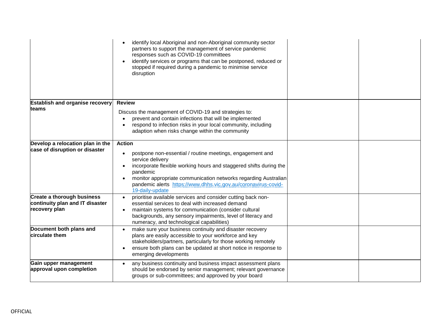|                                                                                       | identify local Aboriginal and non-Aboriginal community sector<br>partners to support the management of service pandemic<br>responses such as COVID-19 committees<br>identify services or programs that can be postponed, reduced or<br>stopped if required during a pandemic to minimise service<br>disruption                       |  |
|---------------------------------------------------------------------------------------|--------------------------------------------------------------------------------------------------------------------------------------------------------------------------------------------------------------------------------------------------------------------------------------------------------------------------------------|--|
| <b>Establish and organise recovery</b>                                                | <b>Review</b>                                                                                                                                                                                                                                                                                                                        |  |
| teams                                                                                 | Discuss the management of COVID-19 and strategies to:<br>prevent and contain infections that will be implemented<br>respond to infection risks in your local community, including<br>adaption when risks change within the community                                                                                                 |  |
| Develop a relocation plan in the                                                      | <b>Action</b>                                                                                                                                                                                                                                                                                                                        |  |
| case of disruption or disaster                                                        | postpone non-essential / routine meetings, engagement and<br>$\bullet$<br>service delivery<br>incorporate flexible working hours and staggered shifts during the<br>pandemic<br>monitor appropriate communication networks regarding Australian<br>pandemic alerts https://www.dhhs.vic.gov.au/coronavirus-covid-<br>19-daily-update |  |
| <b>Create a thorough business</b><br>continuity plan and IT disaster<br>recovery plan | prioritise available services and consider cutting back non-<br>essential services to deal with increased demand<br>maintain systems for communication (consider cultural<br>backgrounds, any sensory impairments, level of literacy and<br>numeracy, and technological capabilities)                                                |  |
| Document both plans and<br>circulate them                                             | make sure your business continuity and disaster recovery<br>plans are easily accessible to your workforce and key<br>stakeholders/partners, particularly for those working remotely<br>ensure both plans can be updated at short notice in response to<br>emerging developments                                                      |  |
| Gain upper management<br>approval upon completion                                     | any business continuity and business impact assessment plans<br>$\bullet$<br>should be endorsed by senior management; relevant governance<br>groups or sub-committees; and approved by your board                                                                                                                                    |  |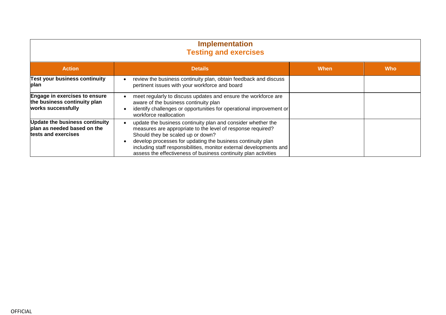| <b>Implementation</b><br><b>Testing and exercises</b>                                |                                                                                                                                                                                                                                                                                                                                                                           |             |            |
|--------------------------------------------------------------------------------------|---------------------------------------------------------------------------------------------------------------------------------------------------------------------------------------------------------------------------------------------------------------------------------------------------------------------------------------------------------------------------|-------------|------------|
| <b>Action</b>                                                                        | <b>Details</b>                                                                                                                                                                                                                                                                                                                                                            | <b>When</b> | <b>Who</b> |
| <b>Test your business continuity</b><br>plan                                         | review the business continuity plan, obtain feedback and discuss<br>pertinent issues with your workforce and board                                                                                                                                                                                                                                                        |             |            |
| Engage in exercises to ensure<br>the business continuity plan<br>works successfully  | meet regularly to discuss updates and ensure the workforce are<br>aware of the business continuity plan<br>identify challenges or opportunities for operational improvement or<br>workforce reallocation                                                                                                                                                                  |             |            |
| Update the business continuity<br>plan as needed based on the<br>tests and exercises | update the business continuity plan and consider whether the<br>measures are appropriate to the level of response required?<br>Should they be scaled up or down?<br>develop processes for updating the business continuity plan<br>including staff responsibilities, monitor external developments and<br>assess the effectiveness of business continuity plan activities |             |            |